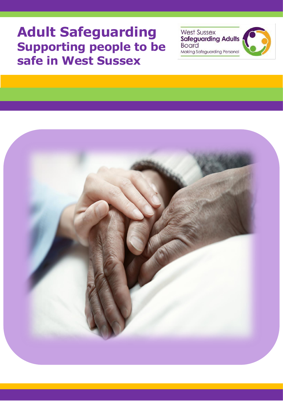# **Adult Safeguarding Supporting people to be safe in West Sussex**

West Sussex<br>Safeguarding Adults **Board** Making Safeguarding Personal



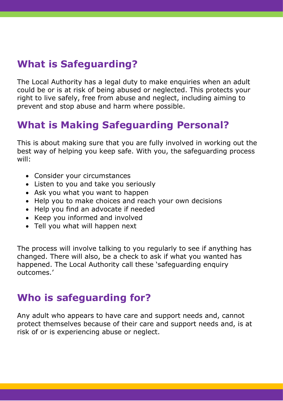# **What is Safeguarding?**

The Local Authority has a legal duty to make enquiries when an adult could be or is at risk of being abused or neglected. This protects your right to live safely, free from abuse and neglect, including aiming to prevent and stop abuse and harm where possible.

## **What is Making Safeguarding Personal?**

This is about making sure that you are fully involved in working out the best way of helping you keep safe. With you, the safeguarding process will:

- Consider your circumstances
- Listen to you and take you seriously
- Ask you what you want to happen
- Help you to make choices and reach your own decisions
- Help you find an advocate if needed
- Keep you informed and involved
- Tell you what will happen next

The process will involve talking to you regularly to see if anything has changed. There will also, be a check to ask if what you wanted has happened. The Local Authority call these 'safeguarding enquiry outcomes.'

## **Who is safeguarding for?**

Any adult who appears to have care and support needs and, cannot protect themselves because of their care and support needs and, is at risk of or is experiencing abuse or neglect.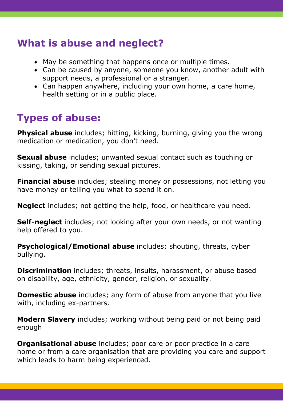## **What is abuse and neglect?**

- May be something that happens once or multiple times.
- Can be caused by anyone, someone you know, another adult with support needs, a professional or a stranger.
- Can happen anywhere, including your own home, a care home, health setting or in a public place.

# **Types of abuse:**

**Physical abuse** includes; hitting, kicking, burning, giving you the wrong medication or medication, you don't need.

**Sexual abuse** includes; unwanted sexual contact such as touching or kissing, taking, or sending sexual pictures.

**Financial abuse** includes; stealing money or possessions, not letting you have money or telling you what to spend it on.

**Neglect** includes; not getting the help, food, or healthcare you need.

**Self-neglect** includes; not looking after your own needs, or not wanting help offered to you.

**Psychological/Emotional abuse** includes; shouting, threats, cyber bullying.

**Discrimination** includes; threats, insults, harassment, or abuse based on disability, age, ethnicity, gender, religion, or sexuality.

**Domestic abuse** includes; any form of abuse from anyone that you live with, including ex-partners.

**Modern Slavery** includes; working without being paid or not being paid enough

**Organisational abuse** includes; poor care or poor practice in a care home or from a care organisation that are providing you care and support which leads to harm being experienced.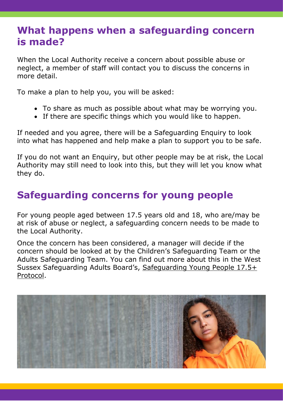#### **What happens when a safeguarding concern is made?**

When the Local Authority receive a concern about possible abuse or neglect, a member of staff will contact you to discuss the concerns in more detail.

To make a plan to help you, you will be asked:

- To share as much as possible about what may be worrying you.
- If there are specific things which you would like to happen.

If needed and you agree, there will be a Safeguarding Enquiry to look into what has happened and help make a plan to support you to be safe.

If you do not want an Enquiry, but other people may be at risk, the Local Authority may still need to look into this, but they will let you know what they do.

### **Safeguarding concerns for young people**

For young people aged between 17.5 years old and 18, who are/may be at risk of abuse or neglect, a safeguarding concern needs to be made to the Local Authority.

Once the concern has been considered, a manager will decide if the concern should be looked at by the Children's Safeguarding Team or the Adults Safeguarding Team. You can find out more about this in the West Sussex Safeguarding Adults Board's, [Safeguarding Young People 17.5+](https://www.westsussexsab.org.uk/media/aghmehrs/safeguarding-young-people-17-5-protocol.pdf)  [Protocol.](https://www.westsussexsab.org.uk/media/aghmehrs/safeguarding-young-people-17-5-protocol.pdf)

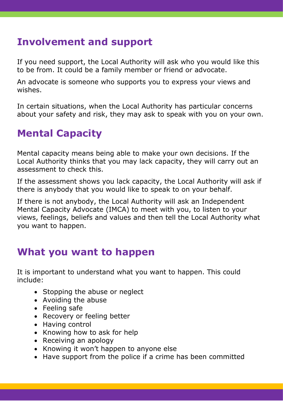### **Involvement and support**

If you need support, the Local Authority will ask who you would like this to be from. It could be a family member or friend or advocate.

An advocate is someone who supports you to express your views and wishes.

In certain situations, when the Local Authority has particular concerns about your safety and risk, they may ask to speak with you on your own.

# **Mental Capacity**

Mental capacity means being able to make your own decisions. If the Local Authority thinks that you may lack capacity, they will carry out an assessment to check this.

If the assessment shows you lack capacity, the Local Authority will ask if there is anybody that you would like to speak to on your behalf.

If there is not anybody, the Local Authority will ask an Independent Mental Capacity Advocate (IMCA) to meet with you, to listen to your views, feelings, beliefs and values and then tell the Local Authority what you want to happen.

#### **What you want to happen**

It is important to understand what you want to happen. This could include:

- Stopping the abuse or neglect
- Avoiding the abuse
- Feeling safe
- Recovery or feeling better
- Having control
- Knowing how to ask for help
- Receiving an apology
- Knowing it won't happen to anyone else
- Have support from the police if a crime has been committed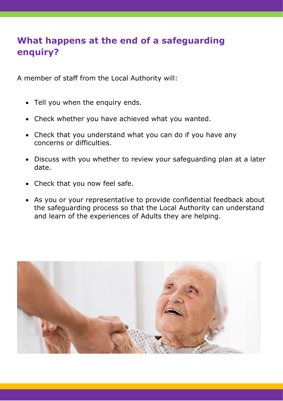#### **What happens at the end of a safeguarding enquiry?**

A member of staff from the Local Authority will:

- Tell you when the enquiry ends.
- Check whether you have achieved what you wanted.
- Check that you understand what you can do if you have any concerns or difficulties.
- Discuss with you whether to review your safeguarding plan at a later date.
- Check that you now feel safe.
- As you or your representative to provide confidential feedback about the safeguarding process so that the Local Authority can understand and learn of the experiences of Adults they are helping.